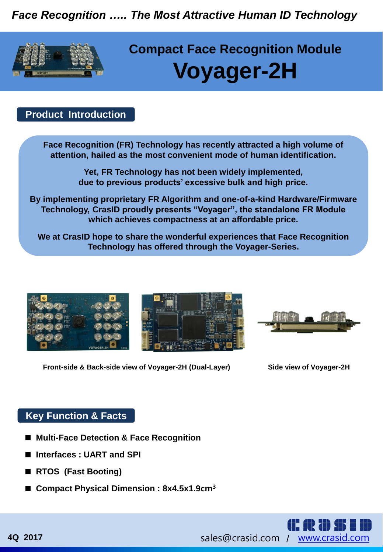*Face Recognition ….. The Most Attractive Human ID Technology*



# **Compact Face Recognition Module Voyager-2H**

### **Product Introduction**

**Face Recognition (FR) Technology has recently attracted a high volume of attention, hailed as the most convenient mode of human identification.**

> **Yet, FR Technology has not been widely implemented, due to previous products' excessive bulk and high price.**

**By implementing proprietary FR Algorithm and one-of-a-kind Hardware/Firmware Technology, CrasID proudly presents "Voyager", the standalone FR Module which achieves compactness at an affordable price.**

**We at CrasID hope to share the wonderful experiences that Face Recognition Technology has offered through the Voyager-Series.**



**Front-side & Back-side view of Voyager-2H (Dual-Layer)**

**Side view of Voyager-2H**

#### **Key Function & Facts**

- Multi-Face Detection & Face Recognition
- Interfaces : UART and SPI
- RTOS (Fast Booting)
- Compact Physical Dimension : 8x4.5x1.9cm<sup>3</sup>

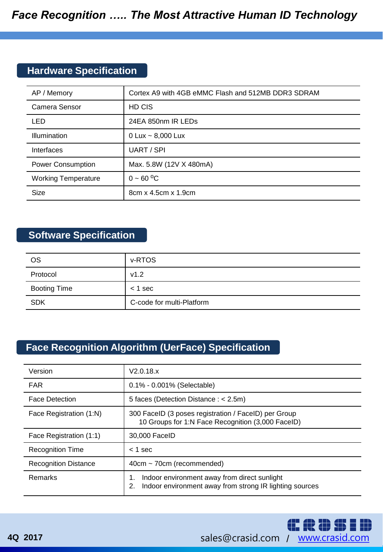## **Hardware Specification**

| AP / Memory                | Cortex A9 with 4GB eMMC Flash and 512MB DDR3 SDRAM |
|----------------------------|----------------------------------------------------|
| Camera Sensor              | HD CIS                                             |
| LED                        | 24EA 850nm IR LEDs                                 |
| Illumination               | 0 Lux $\sim$ 8,000 Lux                             |
| Interfaces                 | UART / SPI                                         |
| <b>Power Consumption</b>   | Max. 5.8W (12V X 480mA)                            |
| <b>Working Temperature</b> | $0 - 60 °C$                                        |
| <b>Size</b>                | 8cm x 4.5cm x 1.9cm                                |

# **Software Specification**

| <b>OS</b>           | v-RTOS                    |
|---------------------|---------------------------|
| Protocol            | v1.2                      |
| <b>Booting Time</b> | $<$ 1 sec                 |
| <b>SDK</b>          | C-code for multi-Platform |

# **Face Recognition Algorithm (UerFace) Specification**

| Version                     | V2.0.18.x                                                                                                           |
|-----------------------------|---------------------------------------------------------------------------------------------------------------------|
| <b>FAR</b>                  | $0.1\% - 0.001\%$ (Selectable)                                                                                      |
| <b>Face Detection</b>       | 5 faces (Detection Distance : $<$ 2.5m)                                                                             |
| Face Registration (1:N)     | 300 FaceID (3 poses registration / FaceID) per Group<br>10 Groups for 1:N Face Recognition (3,000 FaceID)           |
| Face Registration (1:1)     | 30,000 FaceID                                                                                                       |
| <b>Recognition Time</b>     | $<$ 1 sec                                                                                                           |
| <b>Recognition Distance</b> | $40cm \sim 70cm$ (recommended)                                                                                      |
| Remarks                     | Indoor environment away from direct sunlight<br>1.<br>Indoor environment away from strong IR lighting sources<br>2. |

**CRDSID**